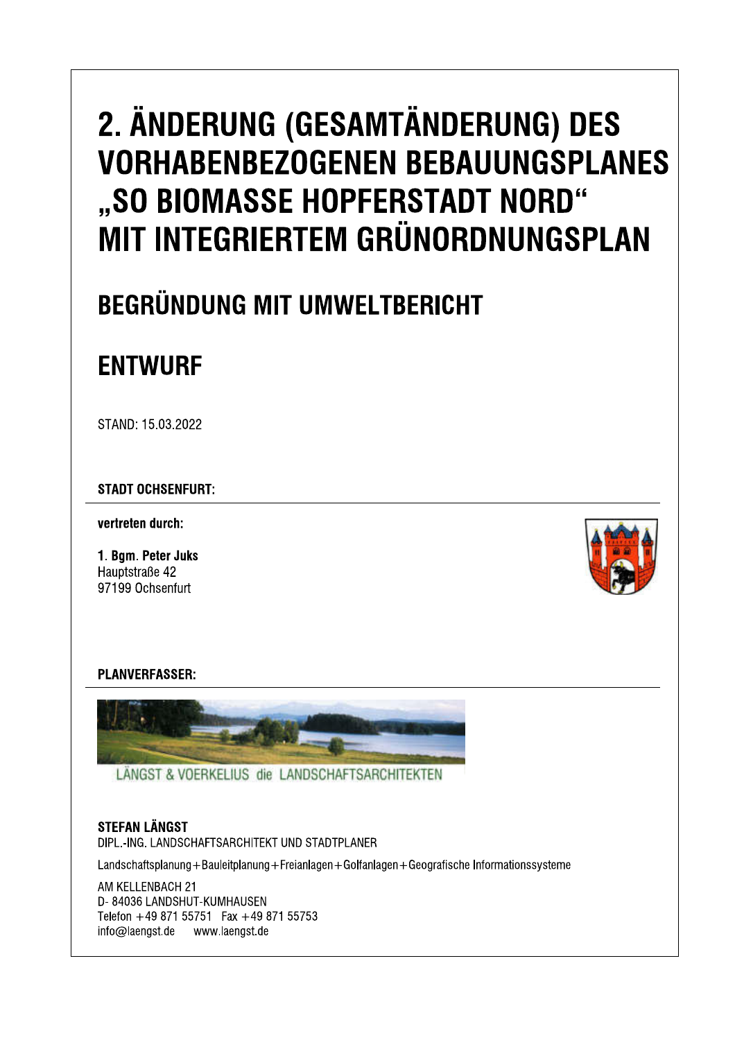# 2. ÄNDERUNG (GESAMTÄNDERUNG) DES **VORHABENBEZOGENEN BEBAUUNGSPLANES** "SO BIOMASSE HOPFERSTADT NORD" MIT INTEGRIERTEM GRÜNORDNUNGSPLAN

# **BEGRÜNDUNG MIT UMWELTBERICHT**

# **ENTWURF**

STAND: 15.03.2022

**STADT OCHSENFURT:** 

vertreten durch:

1. Bgm. Peter Juks Hauptstraße 42 97199 Ochsenfurt



## **PLANVERFASSER:**



LÄNGST & VOERKELIUS die LANDSCHAFTSARCHITEKTEN

## **STEFAN LÄNGST**

DIPL.-ING. LANDSCHAFTSARCHITEKT UND STADTPLANER

Landschaftsplanung+Bauleitplanung+Freianlagen+Golfanlagen+Geografische Informationssysteme

AM KELLENBACH 21 D-84036 LANDSHUT-KUMHAUSEN Telefon +49 871 55751 Fax +49 871 55753 info@laengst.de www.laengst.de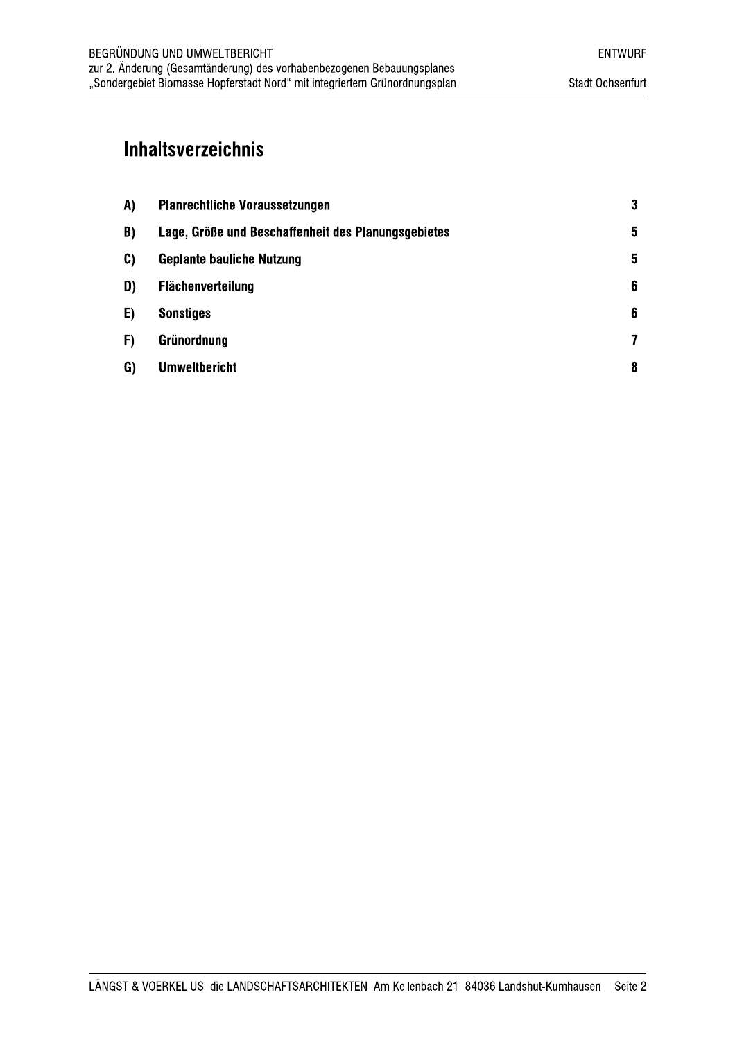## **Inhaltsverzeichnis**

| A) | <b>Planrechtliche Voraussetzungen</b>               | $\bf{3}$ |
|----|-----------------------------------------------------|----------|
| B) | Lage, Größe und Beschaffenheit des Planungsgebietes | 5        |
| C) | <b>Geplante bauliche Nutzung</b>                    | 5        |
| D) | <b>Flächenverteilung</b>                            | 6        |
| E) | <b>Sonstiges</b>                                    | 6        |
| F) | Grünordnung                                         | 7        |
| G) | <b>Umweltbericht</b>                                | 8        |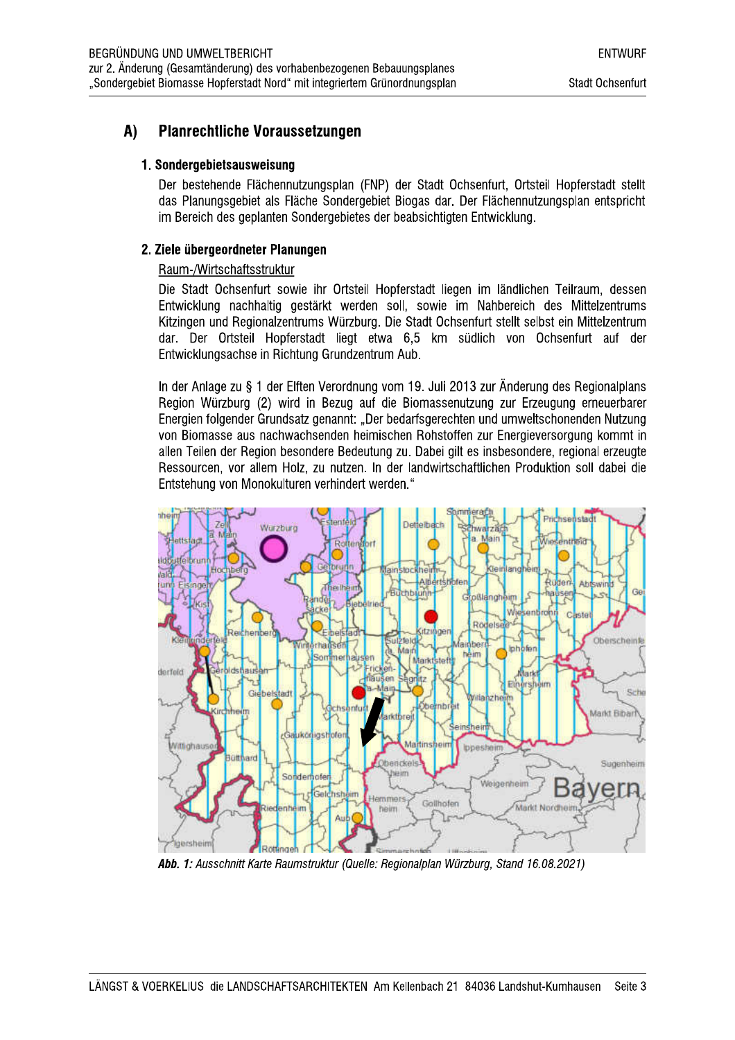#### A) **Planrechtliche Voraussetzungen**

### 1. Sondergebietsausweisung

Der bestehende Flächennutzungsplan (FNP) der Stadt Ochsenfurt, Ortsteil Hopferstadt stellt das Planungsgebiet als Fläche Sondergebiet Biogas dar. Der Flächennutzungsplan entspricht im Bereich des geplanten Sondergebietes der beabsichtigten Entwicklung.

## 2. Ziele übergeordneter Planungen

## Raum-/Wirtschaftsstruktur

Die Stadt Ochsenfurt sowie ihr Ortsteil Hopferstadt liegen im ländlichen Teilraum, dessen Entwicklung nachhaltig gestärkt werden soll, sowie im Nahbereich des Mittelzentrums Kitzingen und Regionalzentrums Würzburg. Die Stadt Ochsenfurt stellt selbst ein Mittelzentrum dar. Der Ortsteil Hopferstadt liegt etwa 6,5 km südlich von Ochsenfurt auf der Entwicklungsachse in Richtung Grundzentrum Aub.

In der Anlage zu § 1 der Elften Verordnung vom 19. Juli 2013 zur Änderung des Regionalplans Region Würzburg (2) wird in Bezug auf die Biomassenutzung zur Erzeugung erneuerbarer Energien folgender Grundsatz genannt: "Der bedarfsgerechten und umweltschonenden Nutzung von Biomasse aus nachwachsenden heimischen Rohstoffen zur Energieversorgung kommt in allen Teilen der Region besondere Bedeutung zu. Dabei gilt es insbesondere, regional erzeugte Ressourcen, vor allem Holz, zu nutzen. In der landwirtschaftlichen Produktion soll dabei die Entstehung von Monokulturen verhindert werden."



Abb. 1: Ausschnitt Karte Raumstruktur (Quelle: Regionalplan Würzburg, Stand 16.08.2021)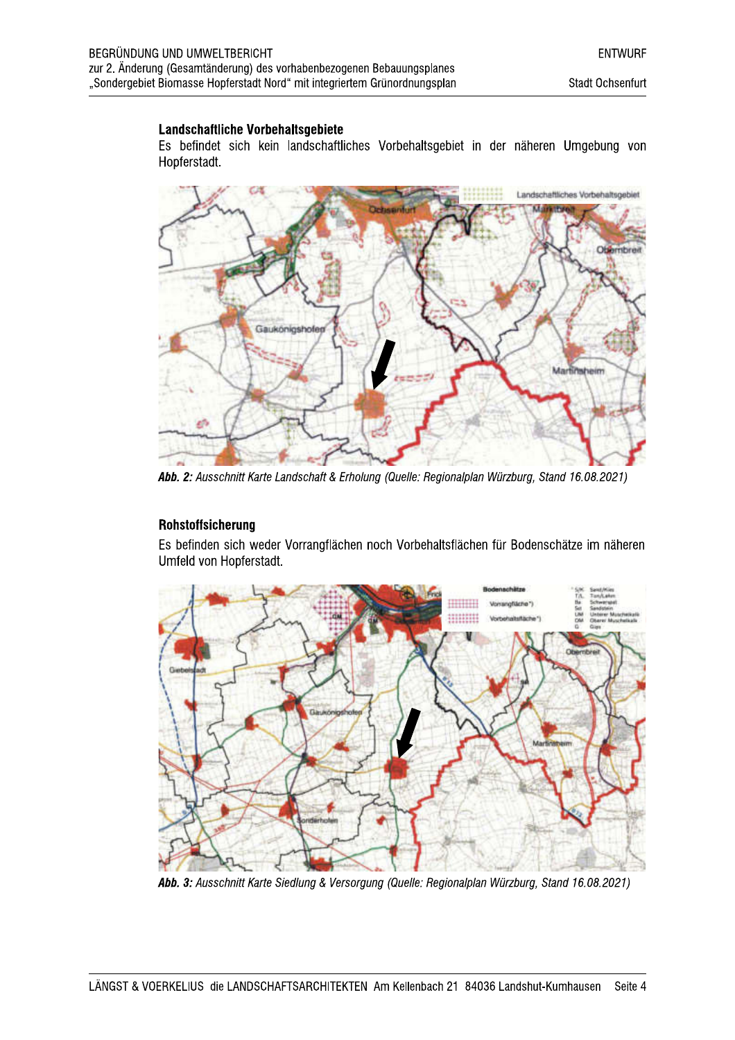#### Landschaftliche Vorbehaltsgebiete

Es befindet sich kein landschaftliches Vorbehaltsgebiet in der näheren Umgebung von Hopferstadt.



Abb. 2: Ausschnitt Karte Landschaft & Erholung (Quelle: Regionalplan Würzburg, Stand 16.08.2021)

#### Rohstoffsicherung

Es befinden sich weder Vorrangflächen noch Vorbehaltsflächen für Bodenschätze im näheren Umfeld von Hopferstadt.



Abb. 3: Ausschnitt Karte Siedlung & Versorgung (Quelle: Regionalplan Würzburg, Stand 16.08.2021)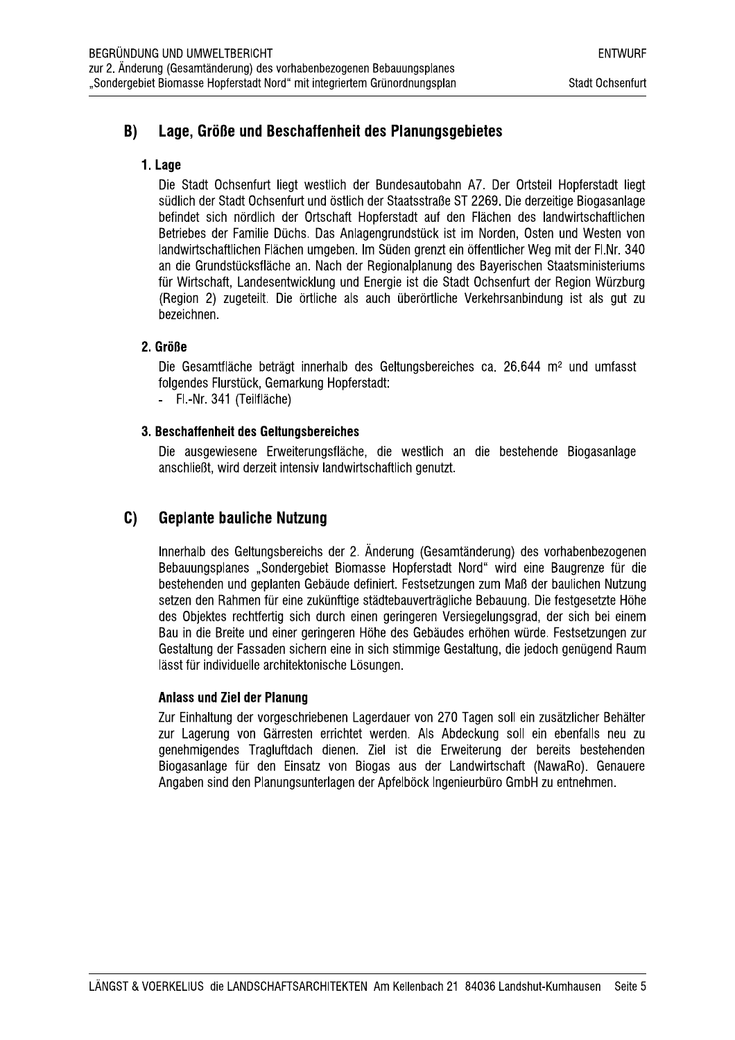#### $B)$ Lage, Größe und Beschaffenheit des Planungsgebietes

### 1. Lage

Die Stadt Ochsenfurt liegt westlich der Bundesautobahn A7. Der Ortsteil Hopferstadt liegt südlich der Stadt Ochsenfurt und östlich der Staatsstraße ST 2269. Die derzeitige Biogasanlage befindet sich nördlich der Ortschaft Hopferstadt auf den Flächen des landwirtschaftlichen Betriebes der Familie Düchs. Das Anlagengrundstück ist im Norden, Osten und Westen von landwirtschaftlichen Flächen umgeben. Im Süden grenzt ein öffentlicher Weg mit der Fl.Nr. 340 an die Grundstücksfläche an. Nach der Regionalplanung des Bayerischen Staatsministeriums für Wirtschaft, Landesentwicklung und Energie ist die Stadt Ochsenfurt der Region Würzburg (Region 2) zugeteilt. Die örtliche als auch überörtliche Verkehrsanbindung ist als gut zu bezeichnen.

### 2. Größe

Die Gesamtfläche beträgt innerhalb des Geltungsbereiches ca. 26.644 m<sup>2</sup> und umfasst folgendes Flurstück, Gemarkung Hopferstadt:

- Fl.-Nr. 341 (Teilfläche)

#### 3. Beschaffenheit des Geltungsbereiches

Die ausgewiesene Erweiterungsfläche, die westlich an die bestehende Biogasanlage anschließt, wird derzeit intensiv landwirtschaftlich genutzt.

#### $C)$ **Geplante bauliche Nutzung**

Innerhalb des Geltungsbereichs der 2. Änderung (Gesamtänderung) des vorhabenbezogenen Bebauungsplanes "Sondergebiet Biomasse Hopferstadt Nord" wird eine Baugrenze für die bestehenden und geplanten Gebäude definiert. Festsetzungen zum Maß der baulichen Nutzung setzen den Rahmen für eine zukünftige städtebauverträgliche Bebauung. Die festgesetzte Höhe des Obiektes rechtfertig sich durch einen geringeren Versiegelungsgrad, der sich bei einem Bau in die Breite und einer geringeren Höhe des Gebäudes erhöhen würde. Festsetzungen zur Gestaltung der Fassaden sichern eine in sich stimmige Gestaltung, die jedoch genügend Raum lässt für individuelle architektonische Lösungen.

#### **Anlass und Ziel der Planung**

Zur Einhaltung der vorgeschriebenen Lagerdauer von 270 Tagen soll ein zusätzlicher Behälter zur Lagerung von Gärresten errichtet werden. Als Abdeckung soll ein ebenfalls neu zu genehmigendes Tragluftdach dienen. Ziel ist die Erweiterung der bereits bestehenden Biogasanlage für den Einsatz von Biogas aus der Landwirtschaft (NawaRo). Genauere Angaben sind den Planungsunterlagen der Apfelböck Ingenieurbüro GmbH zu entnehmen.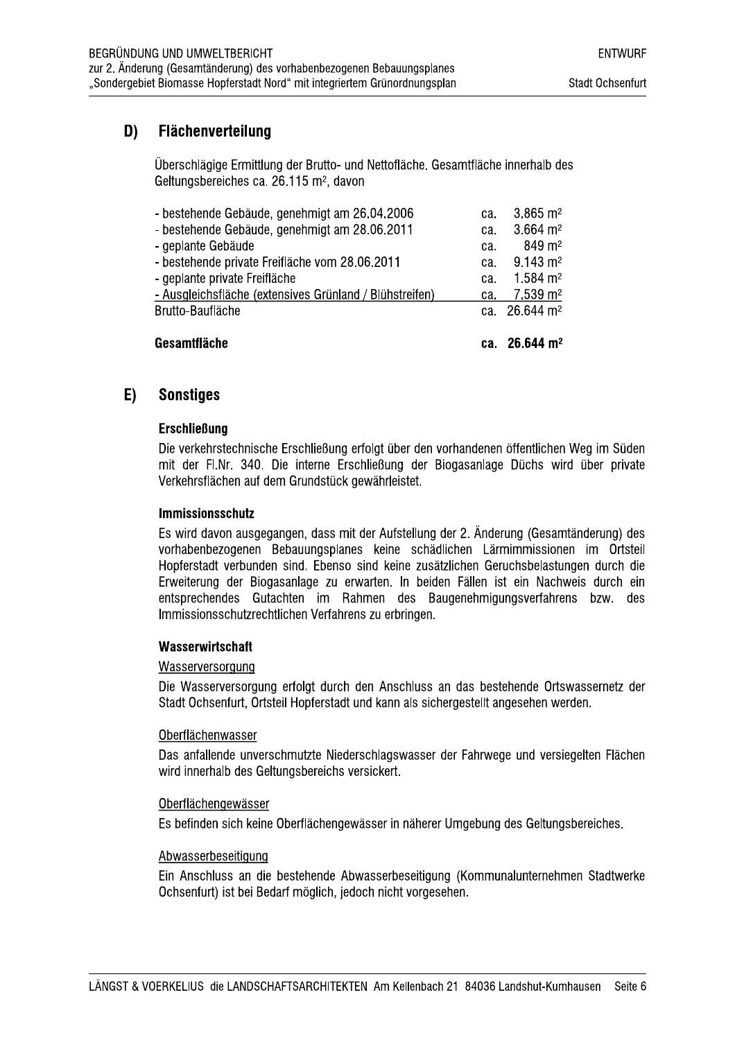#### D) **Flächenverteilung**

Überschlägige Ermittlung der Brutto- und Nettofläche. Gesamtfläche innerhalb des Geltungsbereiches ca. 26.115 m<sup>2</sup>, davon

| Gesamtfläche                                            | ca. | $26.644 \text{ m}^2$     |
|---------------------------------------------------------|-----|--------------------------|
| Brutto-Baufläche                                        |     | ca. $26.644 \text{ m}^2$ |
| - Ausgleichsfläche (extensives Grünland / Blühstreifen) | ca. | $7.539 \text{ m}^2$      |
| - geplante private Freifläche                           | ca. | $1.584 \text{ m}^2$      |
| - bestehende private Freifläche vom 28.06.2011          | ca. | $9.143 \text{ m}^2$      |
| - geplante Gebäude                                      | ca. | $849 \text{ m}^2$        |
| - bestehende Gebäude, genehmigt am 28.06.2011           | ca. | $3.664 \; \text{m}^2$    |
| - bestehende Gebäude, genehmigt am 26.04.2006           | ca. | $3.865 \text{ m}^2$      |

#### **Sonstiges** E)

#### **Erschließung**

Die verkehrstechnische Erschließung erfolgt über den vorhandenen öffentlichen Weg im Süden mit der FI.Nr. 340. Die interne Erschließung der Biogasanlage Düchs wird über private Verkehrsflächen auf dem Grundstück gewährleistet.

#### **Immissionsschutz**

Es wird davon ausgegangen, dass mit der Aufstellung der 2. Änderung (Gesamtänderung) des vorhabenbezogenen Bebauungsplanes keine schädlichen Lärmimmissionen im Ortsteil Hopferstadt verbunden sind. Ebenso sind keine zusätzlichen Geruchsbelastungen durch die Erweiterung der Biogasanlage zu erwarten. In beiden Fällen ist ein Nachweis durch ein entsprechendes Gutachten im Rahmen des Baugenehmigungsverfahrens bzw. des Immissionsschutzrechtlichen Verfahrens zu erbringen.

#### Wasserwirtschaft

#### Wasserversorgung

Die Wasserversorgung erfolgt durch den Anschluss an das bestehende Ortswassernetz der Stadt Ochsenfurt, Ortsteil Hopferstadt und kann als sichergestellt angesehen werden.

#### Oberflächenwasser

Das anfallende unverschmutzte Niederschlagswasser der Fahrwege und versiegelten Flächen wird innerhalb des Geltungsbereichs versickert.

#### Oberflächengewässer

Es befinden sich keine Oberflächengewässer in näherer Umgebung des Geltungsbereiches.

#### Abwasserbeseitigung

Ein Anschluss an die bestehende Abwasserbeseitigung (Kommunalunternehmen Stadtwerke Ochsenfurt) ist bei Bedarf möglich, jedoch nicht vorgesehen.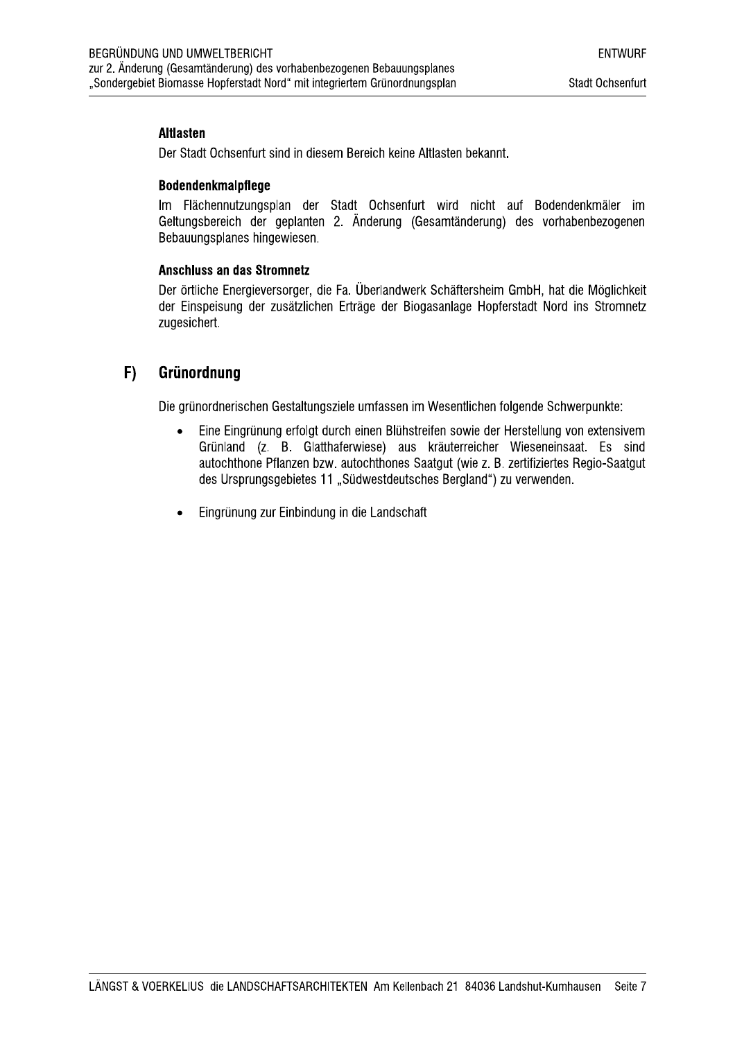#### **Altlasten**

Der Stadt Ochsenfurt sind in diesem Bereich keine Altlasten bekannt.

#### **Bodendenkmalpflege**

Im Flächennutzungsplan der Stadt Ochsenfurt wird nicht auf Bodendenkmäler im Geltungsbereich der geplanten 2. Änderung (Gesamtänderung) des vorhabenbezogenen Bebauungsplanes hingewiesen.

#### **Anschluss an das Stromnetz**

Der örtliche Energieversorger, die Fa. Überlandwerk Schäftersheim GmbH, hat die Möglichkeit der Einspeisung der zusätzlichen Erträge der Biogasanlage Hopferstadt Nord ins Stromnetz zugesichert.

#### $F)$ Grünordnung

Die grünordnerischen Gestaltungsziele umfassen im Wesentlichen folgende Schwerpunkte:

- $\bullet$ Eine Eingrünung erfolgt durch einen Blühstreifen sowie der Herstellung von extensivem Grünland (z. B. Glatthaferwiese) aus kräuterreicher Wieseneinsaat. Es sind autochthone Pflanzen bzw. autochthones Saatgut (wie z. B. zertifiziertes Regio-Saatgut des Ursprungsgebietes 11 "Südwestdeutsches Bergland") zu verwenden.
- Eingrünung zur Einbindung in die Landschaft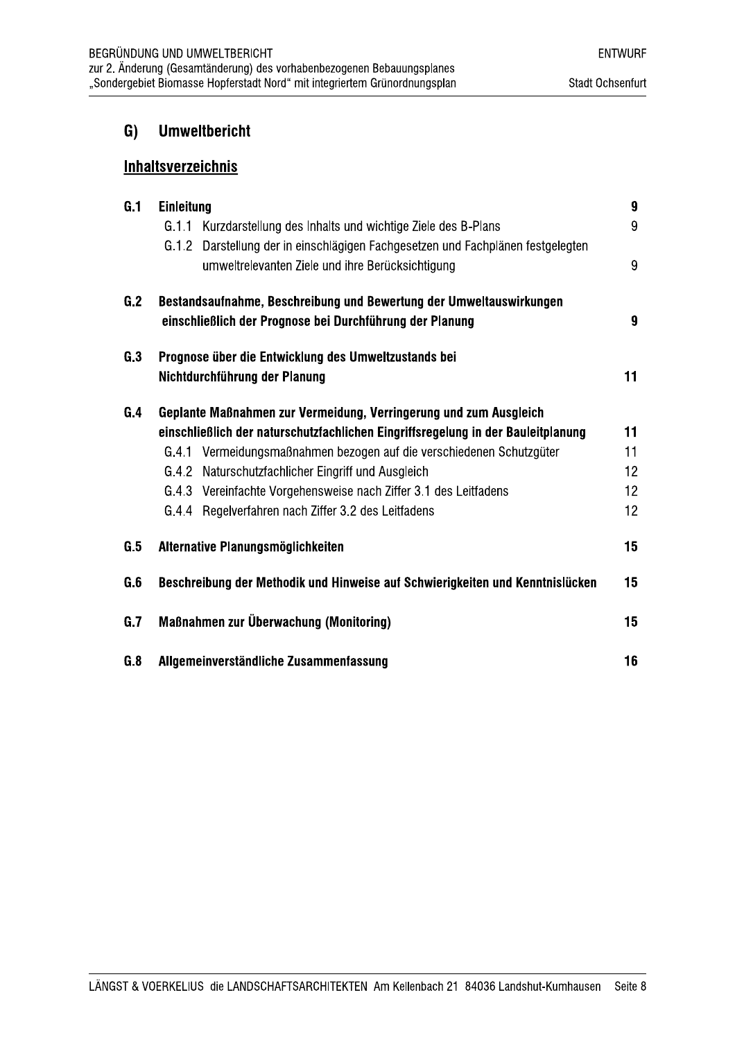#### $G)$ **Umweltbericht**

## **Inhaltsverzeichnis**

| G.1 | <b>Einleitung</b>                                                                |                  |  |  |  |  |
|-----|----------------------------------------------------------------------------------|------------------|--|--|--|--|
|     | G.1.1<br>Kurzdarstellung des Inhalts und wichtige Ziele des B-Plans              | 9                |  |  |  |  |
|     | G.1.2 Darstellung der in einschlägigen Fachgesetzen und Fachplänen festgelegten  |                  |  |  |  |  |
|     | umweltrelevanten Ziele und ihre Berücksichtigung                                 | 9                |  |  |  |  |
| G.2 | Bestandsaufnahme, Beschreibung und Bewertung der Umweltauswirkungen              |                  |  |  |  |  |
|     | einschließlich der Prognose bei Durchführung der Planung                         | $\boldsymbol{9}$ |  |  |  |  |
| G.3 | Prognose über die Entwicklung des Umweltzustands bei                             |                  |  |  |  |  |
|     | Nichtdurchführung der Planung                                                    | 11               |  |  |  |  |
| G.4 | Geplante Maßnahmen zur Vermeidung, Verringerung und zum Ausgleich                |                  |  |  |  |  |
|     | einschließlich der naturschutzfachlichen Eingriffsregelung in der Bauleitplanung | 11               |  |  |  |  |
|     | G.4.1 Vermeidungsmaßnahmen bezogen auf die verschiedenen Schutzgüter             | 11               |  |  |  |  |
|     | G.4.2 Naturschutzfachlicher Eingriff und Ausgleich                               | 12               |  |  |  |  |
|     | G.4.3 Vereinfachte Vorgehensweise nach Ziffer 3.1 des Leitfadens                 | 12               |  |  |  |  |
|     | G.4.4 Regelverfahren nach Ziffer 3.2 des Leitfadens                              | 12 <sup>2</sup>  |  |  |  |  |
| G.5 | Alternative Planungsmöglichkeiten                                                | 15 <sub>1</sub>  |  |  |  |  |
| G.6 | Beschreibung der Methodik und Hinweise auf Schwierigkeiten und Kenntnislücken    |                  |  |  |  |  |
| G.7 | Maßnahmen zur Überwachung (Monitoring)                                           | 15               |  |  |  |  |
| G.8 | Allgemeinverständliche Zusammenfassung                                           | 16               |  |  |  |  |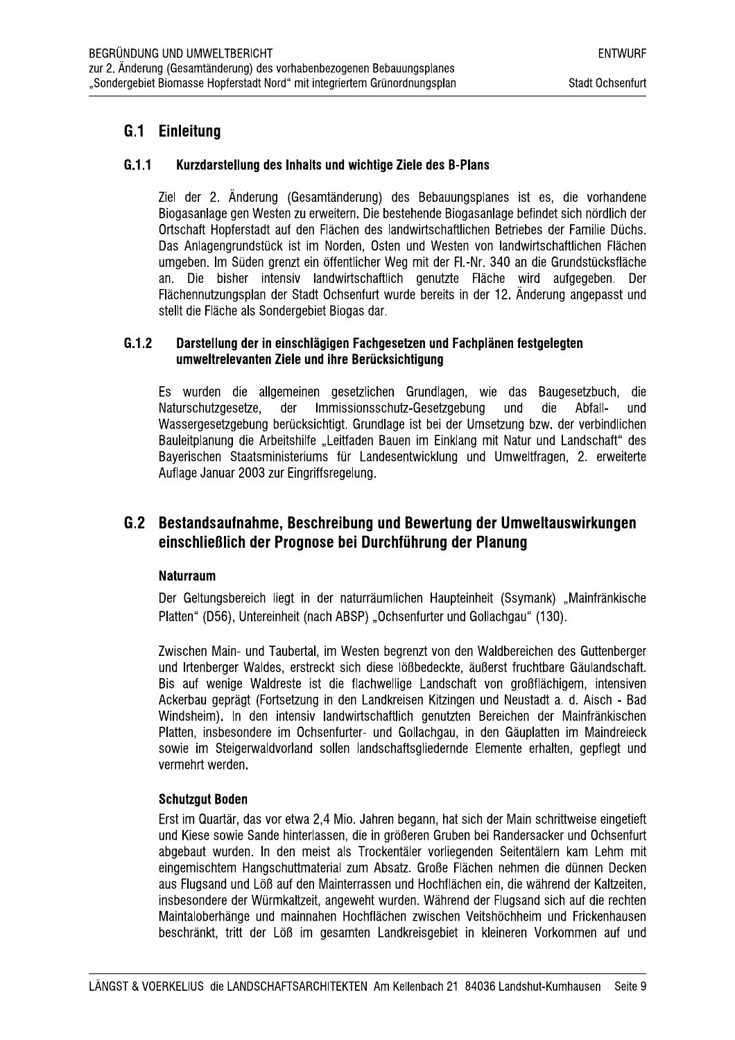## G.1 Einleitung

#### $G.1.1$ Kurzdarstellung des Inhalts und wichtige Ziele des B-Plans

Ziel der 2. Änderung (Gesamtänderung) des Bebauungsplanes ist es. die vorhandene Biogasanlage gen Westen zu erweitern. Die bestehende Biogasanlage befindet sich nördlich der Ortschaft Hopferstadt auf den Flächen des landwirtschaftlichen Betriebes der Familie Düchs. Das Anlagengrundstück ist im Norden. Osten und Westen von landwirtschaftlichen Flächen umgeben. Im Süden grenzt ein öffentlicher Weg mit der Fl.-Nr. 340 an die Grundstücksfläche an. Die bisher intensiv landwirtschaftlich genutzte Fläche wird aufgegeben. Der Flächennutzungsplan der Stadt Ochsenfurt wurde bereits in der 12. Änderung angepasst und stellt die Fläche als Sondergebiet Biogas dar.

#### $G.1.2$ Darstellung der in einschlägigen Fachgesetzen und Fachplänen festgelegten umweltrelevanten Ziele und ihre Berücksichtigung

Es wurden die allgemeinen gesetzlichen Grundlagen, wie das Baugesetzbuch, die Naturschutzgesetze. der Immissionsschutz-Gesetzgebung und die Abfallund Wassergesetzgebung berücksichtigt. Grundlage ist bei der Umsetzung bzw. der verbindlichen Bauleitplanung die Arbeitshilfe "Leitfaden Bauen im Einklang mit Natur und Landschaft" des Bayerischen Staatsministeriums für Landesentwicklung und Umweltfragen, 2. erweiterte Auflage Januar 2003 zur Eingriffsregelung.

## G.2 Bestandsaufnahme. Beschreibung und Bewertung der Umweltauswirkungen einschließlich der Prognose bei Durchführung der Planung

#### **Naturraum**

Der Geltungsbereich liegt in der naturräumlichen Haupteinheit (Ssymank) "Mainfränkische Platten" (D56). Untereinheit (nach ABSP) "Ochsenfurter und Gollachgau" (130).

Zwischen Main- und Taubertal, im Westen begrenzt von den Waldbereichen des Guttenberger und Irtenberger Waldes, erstreckt sich diese lößbedeckte, äußerst fruchtbare Gäulandschaft. Bis auf wenige Waldreste ist die flachwellige Landschaft von großflächigem, intensiven Ackerbau geprägt (Fortsetzung in den Landkreisen Kitzingen und Neustadt a. d. Aisch - Bad Windsheim). In den intensiv landwirtschaftlich genutzten Bereichen der Mainfränkischen Platten, insbesondere im Ochsenfurter- und Gollachgau, in den Gäuplatten im Maindreieck sowie im Steigerwaldvorland sollen landschaftsgliedernde Elemente erhalten, gepflegt und vermehrt werden.

#### **Schutzqut Boden**

Erst im Quartär, das vor etwa 2,4 Mio. Jahren begann, hat sich der Main schrittweise eingetieft und Kiese sowie Sande hinterlassen, die in größeren Gruben bei Randersacker und Ochsenfurt abgebaut wurden. In den meist als Trockentäler vorliegenden Seitentälern kam Lehm mit eingemischtem Hangschuttmaterial zum Absatz. Große Flächen nehmen die dünnen Decken aus Flugsand und Löß auf den Mainterrassen und Hochflächen ein, die während der Kaltzeiten, insbesondere der Würmkaltzeit, angeweht wurden. Während der Flugsand sich auf die rechten Maintaloberhänge und mainnahen Hochflächen zwischen Veitshöchheim und Frickenhausen beschränkt, tritt der Löß im gesamten Landkreisgebiet in kleineren Vorkommen auf und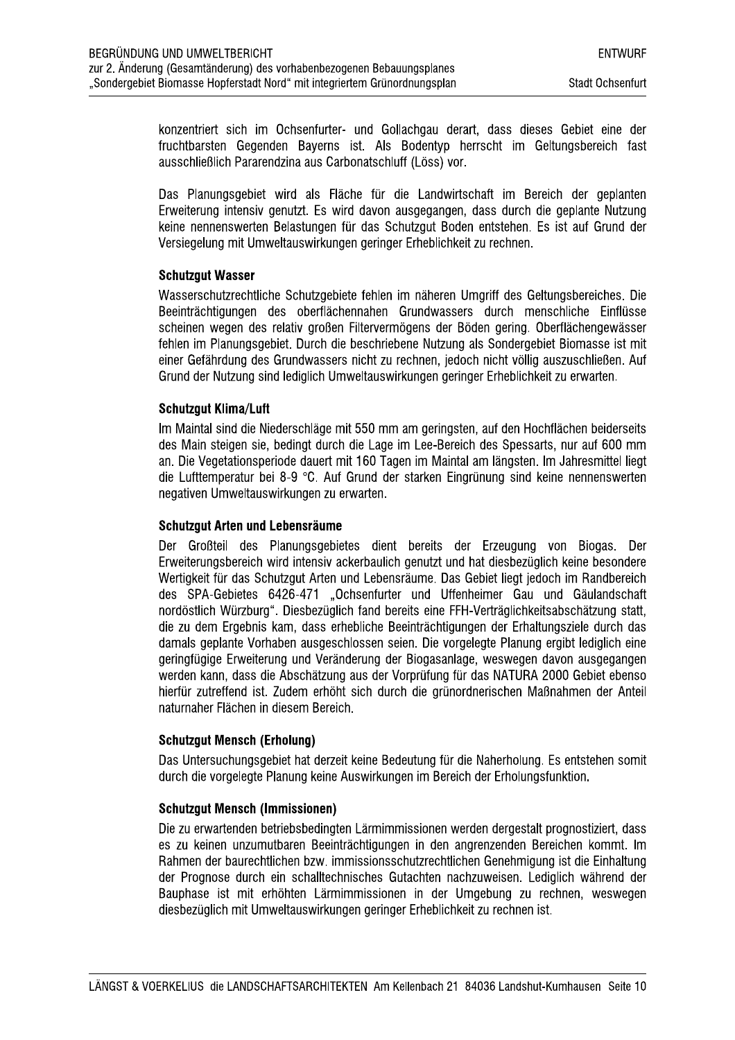konzentriert sich im Ochsenfurter- und Gollachgau derart, dass dieses Gebiet eine der fruchtbarsten Gegenden Bayerns ist. Als Bodentyp herrscht im Geltungsbereich fast ausschließlich Pararendzina aus Carbonatschluff (Löss) vor.

Das Planungsgebiet wird als Fläche für die Landwirtschaft im Bereich der geplanten Erweiterung intensiy genutzt. Es wird davon ausgegangen, dass durch die geplante Nutzung keine nennenswerten Belastungen für das Schutzgut Boden entstehen. Es ist auf Grund der Versiegelung mit Umweltauswirkungen geringer Erheblichkeit zu rechnen.

### **Schutzgut Wasser**

Wasserschutzrechtliche Schutzgebiete fehlen im näheren Umgriff des Geltungsbereiches. Die Beeinträchtigungen des oberflächennahen Grundwassers durch menschliche Einflüsse scheinen wegen des relativ großen Filtervermögens der Böden gering. Oberflächengewässer fehlen im Planungsgebiet. Durch die beschriebene Nutzung als Sondergebiet Biomasse ist mit einer Gefährdung des Grundwassers nicht zu rechnen, jedoch nicht völlig auszuschließen. Auf Grund der Nutzung sind lediglich Umweltauswirkungen geringer Erheblichkeit zu erwarten.

### **Schutzaut Klima/Luft**

Im Maintal sind die Niederschläge mit 550 mm am geringsten, auf den Hochflächen beiderseits des Main steigen sie, bedingt durch die Lage im Lee-Bereich des Spessarts, nur auf 600 mm an. Die Vegetationsperiode dauert mit 160 Tagen im Maintal am längsten. Im Jahresmittel liegt die Lufttemperatur bei 8-9 °C. Auf Grund der starken Eingrünung sind keine nennenswerten negativen Umweltauswirkungen zu erwarten.

#### Schutzgut Arten und Lebensräume

Der Großteil des Planungsgebietes dient bereits der Erzeugung von Biogas. Der Erweiterungsbereich wird intensiv ackerbaulich genutzt und hat diesbezüglich keine besondere Wertigkeit für das Schutzgut Arten und Lebensräume. Das Gebiet liegt jedoch im Randbereich des SPA-Gebietes 6426-471 "Ochsenfurter und Uffenheimer Gau und Gäulandschaft nordöstlich Würzburg". Diesbezüglich fand bereits eine FFH-Verträglichkeitsabschätzung statt, die zu dem Ergebnis kam, dass erhebliche Beeinträchtigungen der Erhaltungsziele durch das damals geplante Vorhaben ausgeschlossen seien. Die vorgelegte Planung ergibt lediglich eine geringfügige Erweiterung und Veränderung der Biogasanlage, weswegen davon ausgegangen werden kann, dass die Abschätzung aus der Vorprüfung für das NATURA 2000 Gebiet ebenso hierfür zutreffend ist. Zudem erhöht sich durch die grünordnerischen Maßnahmen der Anteil naturnaher Flächen in diesem Bereich.

### **Schutzqut Mensch (Erholung)**

Das Untersuchungsgebiet hat derzeit keine Bedeutung für die Naherholung. Es entstehen somit durch die vorgelegte Planung keine Auswirkungen im Bereich der Erholungsfunktion.

#### **Schutzqut Mensch (Immissionen)**

Die zu erwartenden betriebsbedingten Lärmimmissionen werden dergestalt prognostiziert, dass es zu keinen unzumutbaren Beeinträchtigungen in den angrenzenden Bereichen kommt. Im Rahmen der baurechtlichen bzw. immissionsschutzrechtlichen Genehmigung ist die Einhaltung der Prognose durch ein schalltechnisches Gutachten nachzuweisen. Lediglich während der Bauphase ist mit erhöhten Lärmimmissionen in der Umgebung zu rechnen, weswegen diesbezüglich mit Umweltauswirkungen geringer Erheblichkeit zu rechnen ist.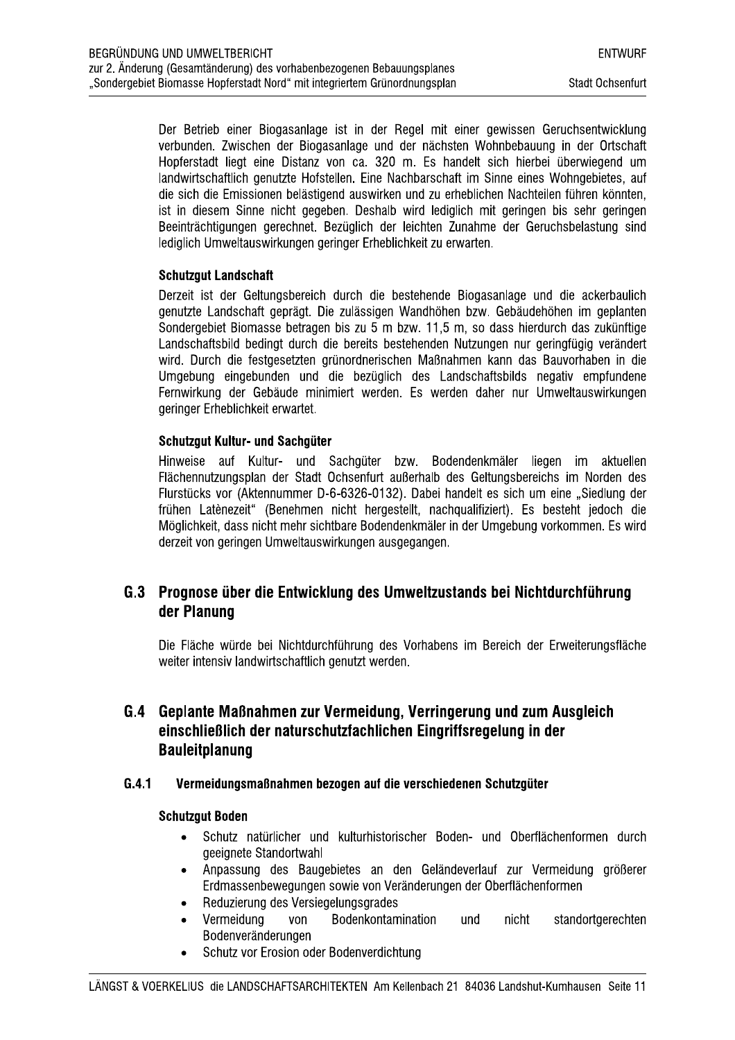Der Betrieb einer Biogasanlage ist in der Regel mit einer gewissen Geruchsentwicklung verbunden. Zwischen der Biogasanlage und der nächsten Wohnbebauung in der Ortschaft Hopferstadt liegt eine Distanz von ca. 320 m. Es handelt sich hierbei überwiegend um landwirtschaftlich genutzte Hofstellen. Eine Nachbarschaft im Sinne eines Wohngebietes, auf die sich die Emissionen belästigend auswirken und zu erheblichen Nachteilen führen könnten. ist in diesem Sinne nicht gegeben. Deshalb wird lediglich mit geringen bis sehr geringen Beeinträchtigungen gerechnet. Bezüglich der leichten Zunahme der Geruchsbelastung sind lediglich Umweltauswirkungen geringer Erheblichkeit zu erwarten.

### **Schutzgut Landschaft**

Derzeit ist der Geltungsbereich durch die bestehende Biogasanlage und die ackerbaulich genutzte Landschaft geprägt. Die zulässigen Wandhöhen bzw. Gebäudehöhen im geplanten Sondergebiet Biomasse betragen bis zu 5 m bzw. 11,5 m, so dass hierdurch das zukünftige Landschaftsbild bedingt durch die bereits bestehenden Nutzungen nur geringfügig verändert wird. Durch die festgesetzten grünordnerischen Maßnahmen kann das Bauvorhaben in die Umgebung eingebunden und die bezüglich des Landschaftsbilds negativ empfundene Fernwirkung der Gebäude minimiert werden. Es werden daher nur Umweltauswirkungen geringer Erheblichkeit erwartet.

### Schutzaut Kultur- und Sachaüter

Hinweise auf Kultur- und Sachgüter bzw. Bodendenkmäler liegen im aktuellen Flächennutzungsplan der Stadt Ochsenfurt außerhalb des Geltungsbereichs im Norden des Flurstücks vor (Aktennummer D-6-6326-0132). Dabei handelt es sich um eine "Siedlung der frühen Latènezeit" (Benehmen nicht hergestellt, nachgualifiziert). Es besteht jedoch die Möglichkeit, dass nicht mehr sichtbare Bodendenkmäler in der Umgebung vorkommen. Es wird derzeit von geringen Umweltauswirkungen ausgegangen.

## G.3 Prognose über die Entwicklung des Umweltzustands bei Nichtdurchführung der Planung

Die Fläche würde bei Nichtdurchführung des Vorhabens im Bereich der Erweiterungsfläche weiter intensiv landwirtschaftlich genutzt werden.

## G.4 Geplante Maßnahmen zur Vermeidung, Verringerung und zum Ausgleich einschließlich der naturschutzfachlichen Eingriffsregelung in der **Bauleitplanung**

#### $G.4.1$ Vermeidungsmaßnahmen bezogen auf die verschiedenen Schutzgüter

#### **Schutzgut Boden**

- Schutz natürlicher und kulturhistorischer Boden- und Oberflächenformen durch  $\bullet$ geeignete Standortwahl
- Anpassung des Baugebietes an den Geländeverlauf zur Vermeidung größerer Erdmassenbewegungen sowie von Veränderungen der Oberflächenformen
- Reduzierung des Versiegelungsgrades  $\bullet$
- Vermeidung von Bodenkontamination und nicht standortgerechten  $\bullet$ Bodenveränderungen
- Schutz vor Erosion oder Bodenverdichtung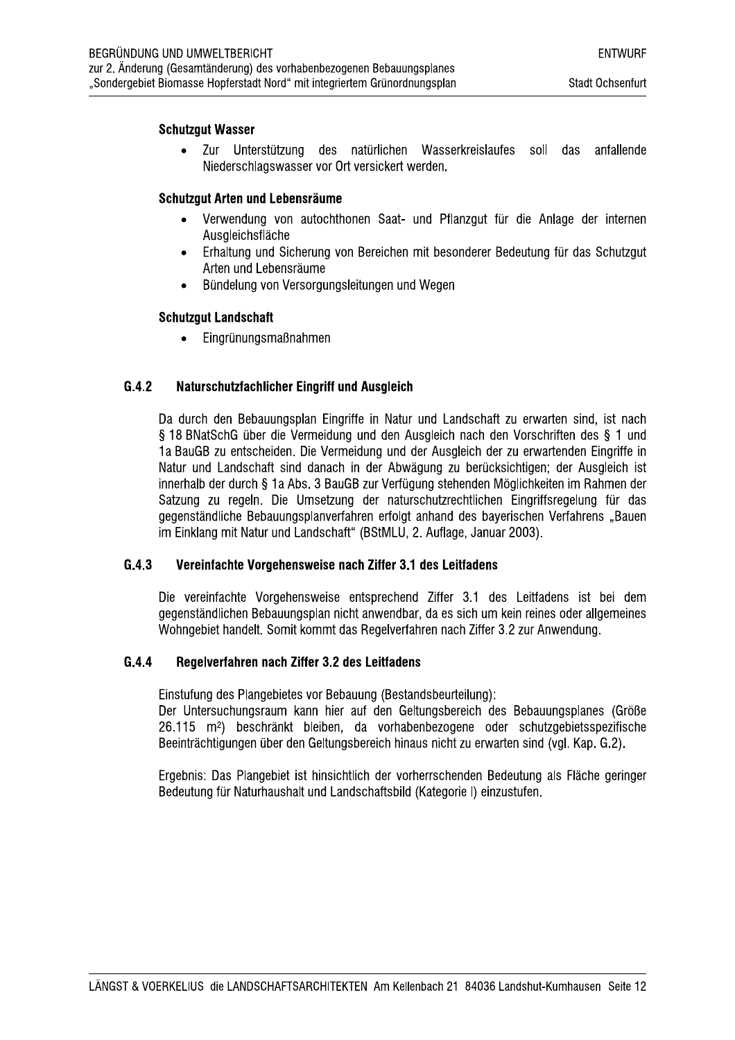#### **Schutzqut Wasser**

Zur Unterstützung des natürlichen Wasserkreislaufes soll das anfallende Niederschlagswasser vor Ort versickert werden.

#### Schutzqut Arten und Lebensräume

- Verwendung von autochthonen Saat- und Pflanzgut für die Anlage der internen  $\bullet$ Ausgleichsfläche
- Erhaltung und Sicherung von Bereichen mit besonderer Bedeutung für das Schutzgut  $\bullet$ Arten und Lebensräume
- Bündelung von Versorgungsleitungen und Wegen  $\bullet$

#### **Schutzgut Landschaft**

Eingrünungsmaßnahmen  $\bullet$ 

#### $G.4.2$ Naturschutzfachlicher Eingriff und Ausgleich

Da durch den Bebauungsplan Eingriffe in Natur und Landschaft zu erwarten sind, ist nach § 18 BNatSchG über die Vermeidung und den Ausgleich nach den Vorschriften des § 1 und 1a BauGB zu entscheiden. Die Vermeidung und der Ausgleich der zu erwartenden Eingriffe in Natur und Landschaft sind danach in der Abwägung zu berücksichtigen: der Ausgleich ist innerhalb der durch § 1a Abs. 3 BauGB zur Verfügung stehenden Möglichkeiten im Rahmen der Satzung zu regeln. Die Umsetzung der naturschutzrechtlichen Eingriffsregelung für das gegenständliche Bebauungsplanverfahren erfolgt anhand des baverischen Verfahrens "Bauen im Einklang mit Natur und Landschaft" (BStMLU, 2. Auflage, Januar 2003).

#### $G.4.3$ Vereinfachte Vorgehensweise nach Ziffer 3.1 des Leitfadens

Die vereinfachte Vorgehensweise entsprechend Ziffer 3.1 des Leitfadens ist bei dem gegenständlichen Bebauungsplan nicht anwendbar, da es sich um kein reines oder allgemeines Wohngebiet handelt. Somit kommt das Regelverfahren nach Ziffer 3.2 zur Anwendung.

#### $G.4.4$ Regelverfahren nach Ziffer 3.2 des Leitfadens

Einstufung des Plangebietes vor Bebauung (Bestandsbeurteilung):

Der Untersuchungsraum kann hier auf den Geltungsbereich des Bebauungsplanes (Größe 26.115 m<sup>2</sup>) beschränkt bleiben, da vorhabenbezogene oder schutzgebietsspezifische Beeinträchtigungen über den Geltungsbereich hinaus nicht zu erwarten sind (vgl. Kap. G.2).

Ergebnis: Das Plangebiet ist hinsichtlich der vorherrschenden Bedeutung als Fläche geringer Bedeutung für Naturhaushalt und Landschaftsbild (Kategorie I) einzustufen.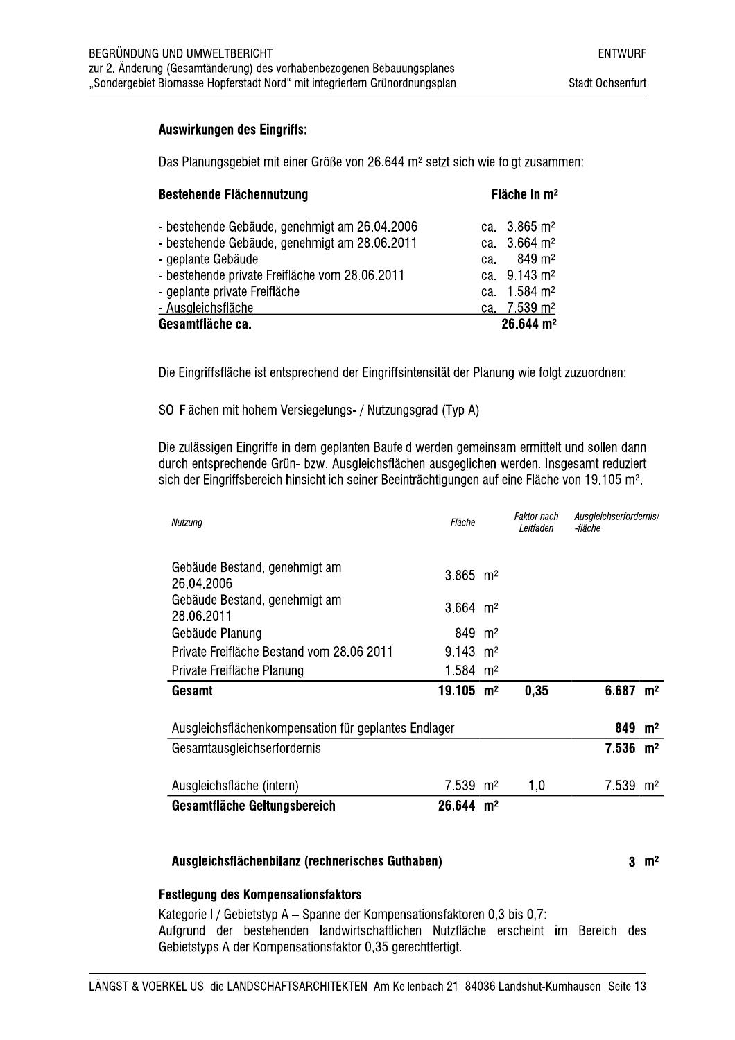#### **Auswirkungen des Eingriffs:**

Das Planungsgebiet mit einer Größe von 26.644 m<sup>2</sup> setzt sich wie folgt zusammen:

| <b>Bestehende Flächennutzung</b>               | Fläche in $m2$           |  |  |
|------------------------------------------------|--------------------------|--|--|
| - bestehende Gebäude, genehmigt am 26.04.2006  | ca. $3.865 \text{ m}^2$  |  |  |
| - bestehende Gebäude, genehmigt am 28.06.2011  | ca. $3.664 \text{ m}^2$  |  |  |
| - geplante Gebäude                             | ca. 849 m <sup>2</sup>   |  |  |
| - bestehende private Freifläche vom 28.06.2011 | ca. 9.143 m <sup>2</sup> |  |  |
| - geplante private Freifläche                  | ca. 1.584 m <sup>2</sup> |  |  |
| - Ausgleichsfläche                             | ca. 7.539 m <sup>2</sup> |  |  |
| Gesamtfläche ca.                               | 26.644 m <sup>2</sup>    |  |  |

Die Eingriffsfläche ist entsprechend der Eingriffsintensität der Planung wie folgt zuzuordnen:

SO Flächen mit hohem Versiegelungs- / Nutzungsgrad (Typ A)

Die zulässigen Eingriffe in dem geplanten Baufeld werden gemeinsam ermittelt und sollen dann durch entsprechende Grün- bzw. Ausgleichsflächen ausgeglichen werden. Insgesamt reduziert sich der Eingriffsbereich hinsichtlich seiner Beeinträchtigungen auf eine Fläche von 19.105 m<sup>2</sup>.

| Nutzung                                              | Fläche                  |  | Faktor nach<br>Leitfaden | Ausgleichserfordernis/<br>-fläche |                |
|------------------------------------------------------|-------------------------|--|--------------------------|-----------------------------------|----------------|
| Gebäude Bestand, genehmigt am<br>26.04.2006          | $3.865$ m <sup>2</sup>  |  |                          |                                   |                |
| Gebäude Bestand, genehmigt am<br>28.06.2011          | 3.664 $m2$              |  |                          |                                   |                |
| Gebäude Planung                                      | 849 m <sup>2</sup>      |  |                          |                                   |                |
| Private Freifläche Bestand vom 28.06.2011            | 9.143 $m2$              |  |                          |                                   |                |
| Private Freifläche Planung                           | 1.584 $m2$              |  |                          |                                   |                |
| Gesamt                                               | $19.105$ m <sup>2</sup> |  | 0,35                     | $6.687$ m <sup>2</sup>            |                |
| Ausgleichsflächenkompensation für geplantes Endlager |                         |  |                          | 849                               | m <sup>2</sup> |
| Gesamtausgleichserfordernis                          |                         |  |                          | $7.536$ m <sup>2</sup>            |                |
| Ausgleichsfläche (intern)                            | $7.539$ m <sup>2</sup>  |  | 1,0                      | 7.539                             | m <sup>2</sup> |
| Gesamtfläche Geltungsbereich                         | $26.644 \text{ m}^2$    |  |                          |                                   |                |

#### Ausgleichsflächenbilanz (rechnerisches Guthaben)

 $3 \text{ m}^2$ 

#### **Festlegung des Kompensationsfaktors**

Kategorie I / Gebietstyp A - Spanne der Kompensationsfaktoren 0.3 bis 0.7: Aufgrund der bestehenden landwirtschaftlichen Nutzfläche erscheint im Bereich des Gebietstyps A der Kompensationsfaktor 0,35 gerechtfertigt.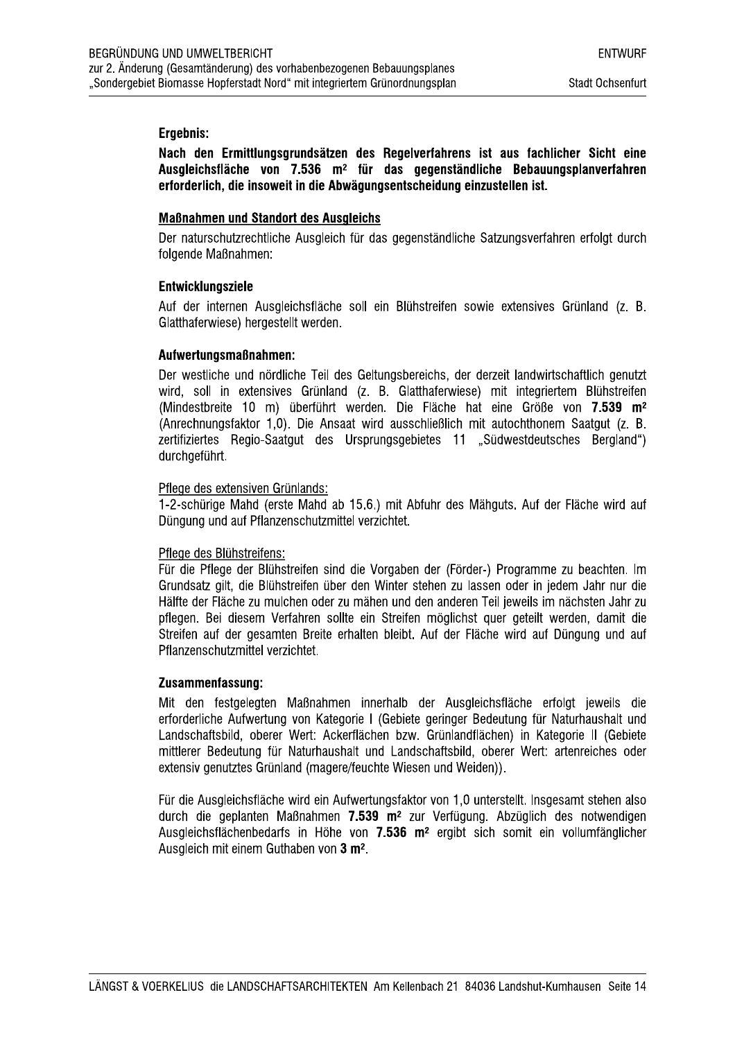#### Ergebnis:

Nach den Ermittlungsgrundsätzen des Regelverfahrens ist aus fachlicher Sicht eine Ausgleichsfläche von 7.536 m<sup>2</sup> für das gegenständliche Bebauungsplanverfahren erforderlich, die insoweit in die Abwägungsentscheidung einzustellen ist.

#### **Maßnahmen und Standort des Ausgleichs**

Der naturschutzrechtliche Ausgleich für das gegenständliche Satzungsverfahren erfolgt durch folgende Maßnahmen:

#### **Entwicklungsziele**

Auf der internen Ausgleichsfläche soll ein Blühstreifen sowie extensives Grünland (z. B. Glatthaferwiese) hergestellt werden.

#### Aufwertungsmaßnahmen:

Der westliche und nördliche Teil des Geltungsbereichs, der derzeit landwirtschaftlich genutzt wird, soll in extensives Grünland (z. B. Glatthaferwiese) mit integriertem Blühstreifen (Mindestbreite 10 m) überführt werden. Die Fläche hat eine Größe von 7.539 m<sup>2</sup> (Anrechnungsfaktor 1,0). Die Ansaat wird ausschließlich mit autochthonem Saatgut (z. B. zertifiziertes Regio-Saatgut des Ursprungsgebietes 11 "Südwestdeutsches Bergland") durchaeführt.

#### Pflege des extensiven Grünlands:

1-2-schürige Mahd (erste Mahd ab 15.6.) mit Abfuhr des Mähguts. Auf der Fläche wird auf Düngung und auf Pflanzenschutzmittel verzichtet.

#### Pflege des Blühstreifens:

Für die Pflege der Blühstreifen sind die Vorgaben der (Förder-) Programme zu beachten. Im Grundsatz gilt, die Blühstreifen über den Winter stehen zu lassen oder in jedem Jahr nur die Hälfte der Fläche zu mulchen oder zu mähen und den anderen Teil jeweils im nächsten Jahr zu pflegen. Bei diesem Verfahren sollte ein Streifen möglichst quer geteilt werden, damit die Streifen auf der gesamten Breite erhalten bleibt. Auf der Fläche wird auf Düngung und auf Pflanzenschutzmittel verzichtet.

#### Zusammenfassung:

Mit den festgelegten Maßnahmen innerhalb der Ausgleichsfläche erfolgt jeweils die erforderliche Aufwertung von Kategorie I (Gebiete geringer Bedeutung für Naturhaushalt und Landschaftsbild, oberer Wert: Ackerflächen bzw. Grünlandflächen) in Kategorie II (Gebiete mittlerer Bedeutung für Naturhaushalt und Landschaftsbild, oberer Wert; artenreiches oder extensiv genutztes Grünland (magere/feuchte Wiesen und Weiden)).

Für die Ausgleichsfläche wird ein Aufwertungsfaktor von 1,0 unterstellt. Insgesamt stehen also durch die geplanten Maßnahmen 7.539 m<sup>2</sup> zur Verfügung. Abzüglich des notwendigen Ausgleichsflächenbedarfs in Höhe von 7.536 m<sup>2</sup> ergibt sich somit ein vollumfänglicher Ausgleich mit einem Guthaben von 3 m<sup>2</sup>.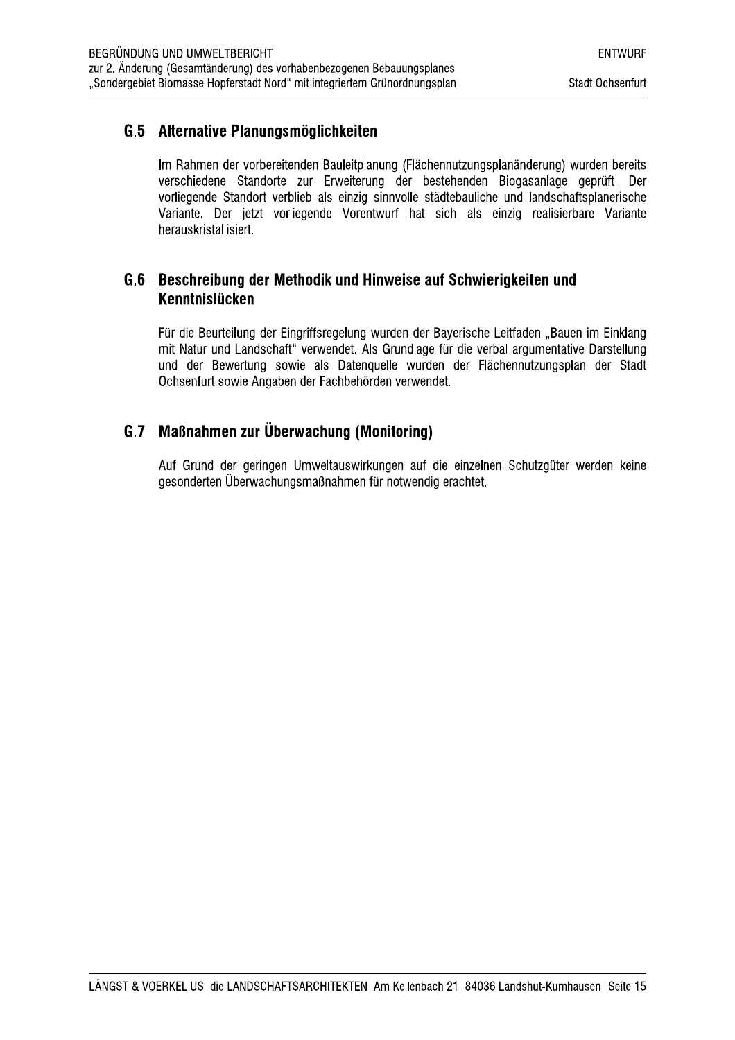## G.5 Alternative Planungsmöglichkeiten

Im Rahmen der vorbereitenden Bauleitplanung (Flächennutzungsplanänderung) wurden bereits verschiedene Standorte zur Erweiterung der bestehenden Biogasanlage geprüft. Der vorliegende Standort verblieb als einzig sinnvolle städtebauliche und landschaftsplanerische Variante. Der jetzt vorliegende Vorentwurf hat sich als einzig realisierbare Variante herauskristallisiert.

## G.6 Beschreibung der Methodik und Hinweise auf Schwierigkeiten und Kenntnislücken

Für die Beurteilung der Eingriffsregelung wurden der Bayerische Leitfaden "Bauen im Einklang mit Natur und Landschaft" verwendet. Als Grundlage für die verbal argumentative Darstellung und der Bewertung sowie als Datenquelle wurden der Flächennutzungsplan der Stadt Ochsenfurt sowie Angaben der Fachbehörden verwendet.

## G.7 Maßnahmen zur Überwachung (Monitoring)

Auf Grund der geringen Umweltauswirkungen auf die einzelnen Schutzgüter werden keine gesonderten Überwachungsmaßnahmen für notwendig erachtet.